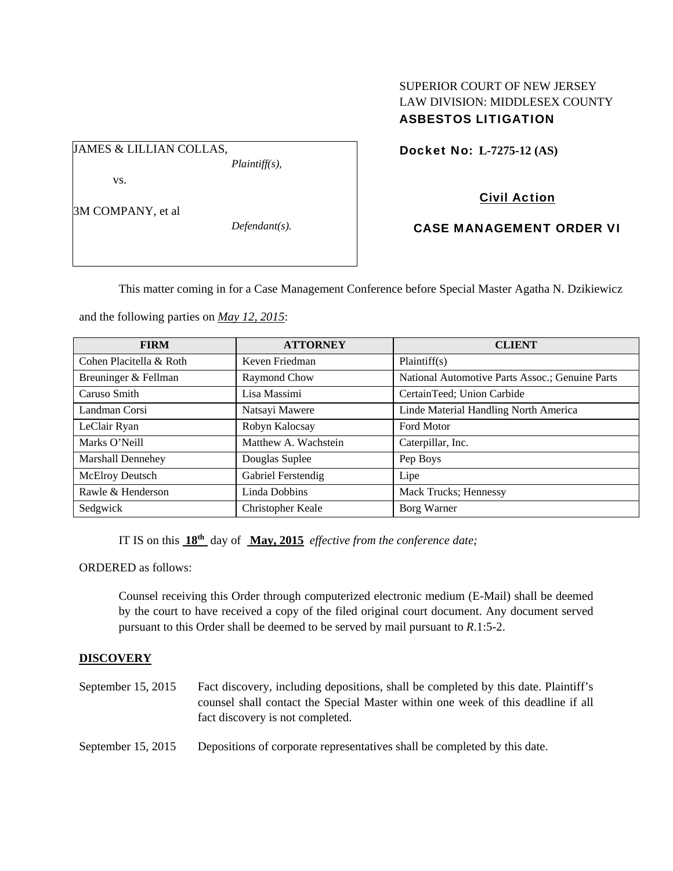# SUPERIOR COURT OF NEW JERSEY LAW DIVISION: MIDDLESEX COUNTY ASBESTOS LITIGATION

JAMES & LILLIAN COLLAS,

vs.

3M COMPANY, et al

*Defendant(s).* 

*Plaintiff(s),* 

Docket No: **L-7275-12 (AS)** 

# Civil Action

CASE MANAGEMENT ORDER VI

This matter coming in for a Case Management Conference before Special Master Agatha N. Dzikiewicz

and the following parties on *May 12, 2015*:

| <b>FIRM</b>              | <b>ATTORNEY</b>      | <b>CLIENT</b>                                   |
|--------------------------|----------------------|-------------------------------------------------|
| Cohen Placitella & Roth  | Keven Friedman       | Plaintiff(s)                                    |
| Breuninger & Fellman     | Raymond Chow         | National Automotive Parts Assoc.; Genuine Parts |
| Caruso Smith             | Lisa Massimi         | CertainTeed; Union Carbide                      |
| Landman Corsi            | Natsayi Mawere       | Linde Material Handling North America           |
| LeClair Ryan             | Robyn Kalocsay       | <b>Ford Motor</b>                               |
| Marks O'Neill            | Matthew A. Wachstein | Caterpillar, Inc.                               |
| <b>Marshall Dennehey</b> | Douglas Suplee       | Pep Boys                                        |
| McElroy Deutsch          | Gabriel Ferstendig   | Lipe                                            |
| Rawle & Henderson        | Linda Dobbins        | Mack Trucks; Hennessy                           |
| Sedgwick                 | Christopher Keale    | Borg Warner                                     |

IT IS on this **18th** day of **May, 2015** *effective from the conference date;*

ORDERED as follows:

Counsel receiving this Order through computerized electronic medium (E-Mail) shall be deemed by the court to have received a copy of the filed original court document. Any document served pursuant to this Order shall be deemed to be served by mail pursuant to *R*.1:5-2.

# **DISCOVERY**

- September 15, 2015 Fact discovery, including depositions, shall be completed by this date. Plaintiff's counsel shall contact the Special Master within one week of this deadline if all fact discovery is not completed.
- September 15, 2015 Depositions of corporate representatives shall be completed by this date.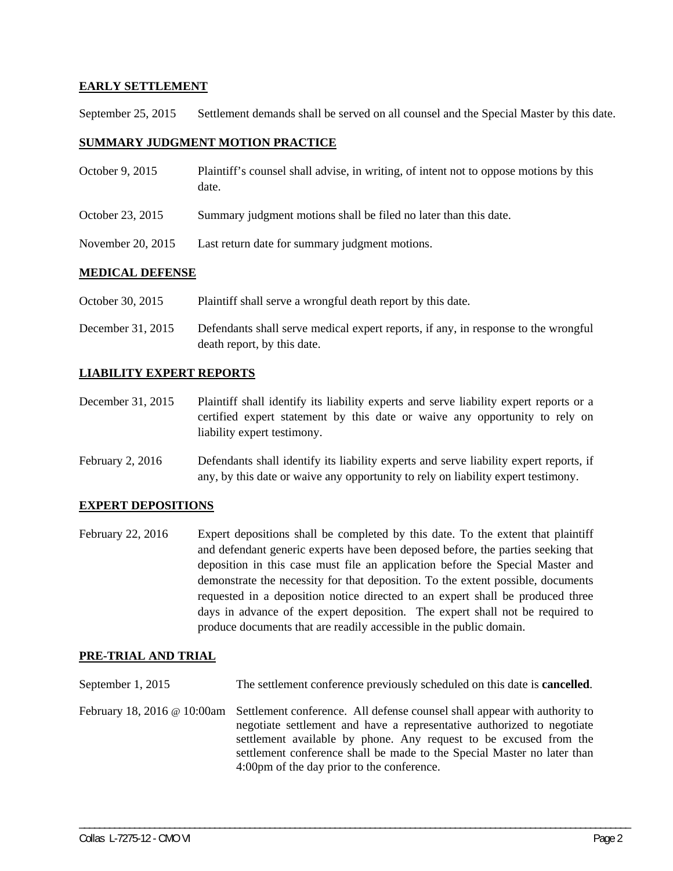# **EARLY SETTLEMENT**

September 25, 2015 Settlement demands shall be served on all counsel and the Special Master by this date.

## **SUMMARY JUDGMENT MOTION PRACTICE**

| October 9, 2015   | Plaintiff's counsel shall advise, in writing, of intent not to oppose motions by this<br>date. |  |
|-------------------|------------------------------------------------------------------------------------------------|--|
| October 23, 2015  | Summary judgment motions shall be filed no later than this date.                               |  |
| November 20, 2015 | Last return date for summary judgment motions.                                                 |  |
| MEDICAL DEFENCE   |                                                                                                |  |

#### **MEDICAL DEFENSE**

October 30, 2015 Plaintiff shall serve a wrongful death report by this date.

December 31, 2015 Defendants shall serve medical expert reports, if any, in response to the wrongful death report, by this date.

## **LIABILITY EXPERT REPORTS**

December 31, 2015 Plaintiff shall identify its liability experts and serve liability expert reports or a certified expert statement by this date or waive any opportunity to rely on liability expert testimony.

February 2, 2016 Defendants shall identify its liability experts and serve liability expert reports, if any, by this date or waive any opportunity to rely on liability expert testimony.

## **EXPERT DEPOSITIONS**

February 22, 2016 Expert depositions shall be completed by this date. To the extent that plaintiff and defendant generic experts have been deposed before, the parties seeking that deposition in this case must file an application before the Special Master and demonstrate the necessity for that deposition. To the extent possible, documents requested in a deposition notice directed to an expert shall be produced three days in advance of the expert deposition. The expert shall not be required to produce documents that are readily accessible in the public domain.

## **PRE-TRIAL AND TRIAL**

| September 1, 2015 | The settlement conference previously scheduled on this date is <b>cancelled</b> .                                                                                                                                                                                                                                                                                             |
|-------------------|-------------------------------------------------------------------------------------------------------------------------------------------------------------------------------------------------------------------------------------------------------------------------------------------------------------------------------------------------------------------------------|
|                   | February 18, 2016 @ 10:00am Settlement conference. All defense counsel shall appear with authority to<br>negotiate settlement and have a representative authorized to negotiate<br>settlement available by phone. Any request to be excused from the<br>settlement conference shall be made to the Special Master no later than<br>4:00pm of the day prior to the conference. |

\_\_\_\_\_\_\_\_\_\_\_\_\_\_\_\_\_\_\_\_\_\_\_\_\_\_\_\_\_\_\_\_\_\_\_\_\_\_\_\_\_\_\_\_\_\_\_\_\_\_\_\_\_\_\_\_\_\_\_\_\_\_\_\_\_\_\_\_\_\_\_\_\_\_\_\_\_\_\_\_\_\_\_\_\_\_\_\_\_\_\_\_\_\_\_\_\_\_\_\_\_\_\_\_\_\_\_\_\_\_